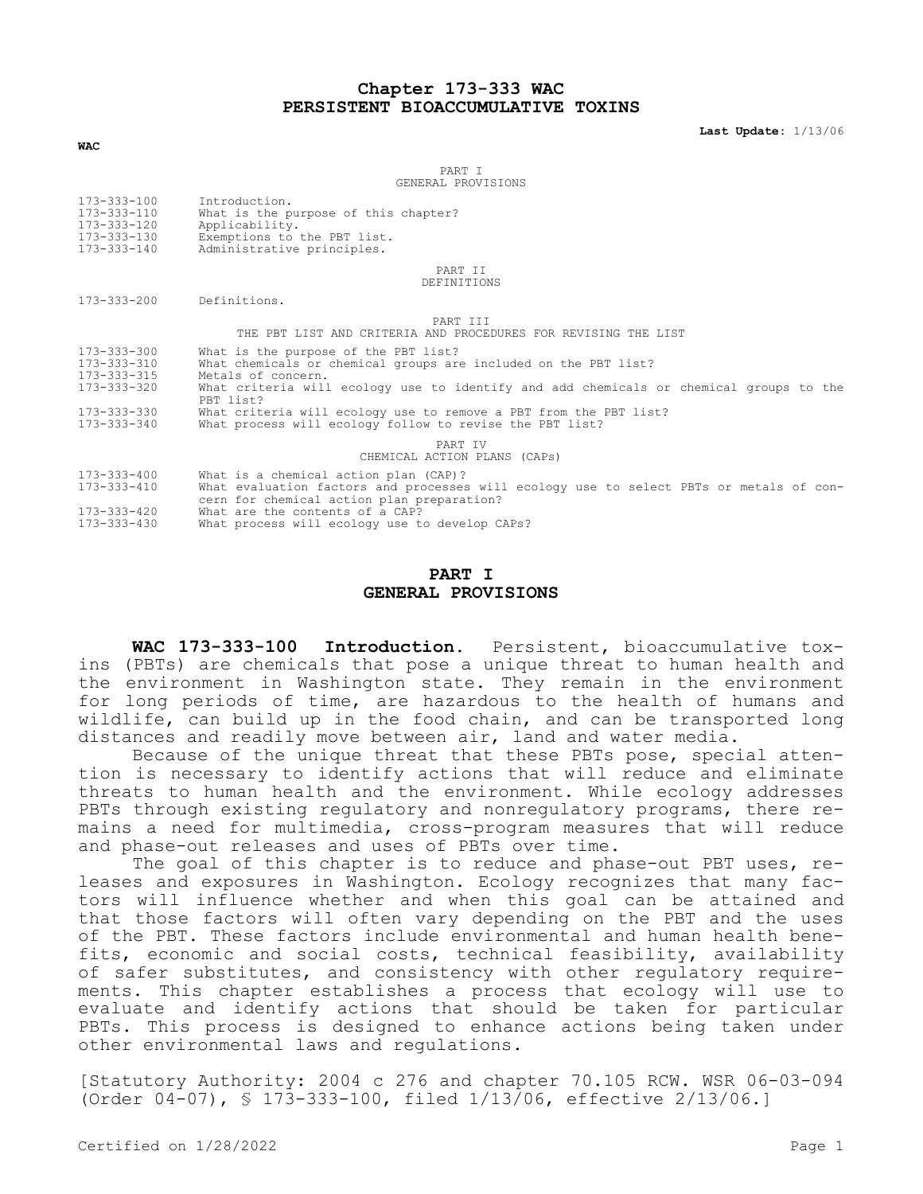### **Chapter 173-333 WAC PERSISTENT BIOACCUMULATIVE TOXINS**

**Last Update:** 1/13/06

**WAC**

PART I GENERAL PROVISIONS

| 173-333-100<br>173-333-110<br>173-333-120<br>173-333-130<br>173-333-140                      | Introduction.<br>What is the purpose of this chapter?<br>Applicability.<br>Exemptions to the PBT list.<br>Administrative principles.                                                                                                                                                                                                                                  |
|----------------------------------------------------------------------------------------------|-----------------------------------------------------------------------------------------------------------------------------------------------------------------------------------------------------------------------------------------------------------------------------------------------------------------------------------------------------------------------|
|                                                                                              | PART II<br>DEFINITIONS                                                                                                                                                                                                                                                                                                                                                |
| $173 - 333 - 200$                                                                            | Definitions.                                                                                                                                                                                                                                                                                                                                                          |
|                                                                                              | PART TIT<br>THE PBT LIST AND CRITERIA AND PROCEDURES FOR REVISING THE LIST                                                                                                                                                                                                                                                                                            |
| $173 - 333 - 300$<br>173-333-310<br>173-333-315<br>173-333-320<br>173-333-330<br>173-333-340 | What is the purpose of the PBT list?<br>What chemicals or chemical groups are included on the PBT list?<br>Metals of concern.<br>What criteria will ecology use to identify and add chemicals or chemical groups to the<br>PBT list?<br>What criteria will ecology use to remove a PBT from the PBT list?<br>What process will ecology follow to revise the PBT list? |
|                                                                                              | PART TV<br>CHEMICAL ACTION PLANS (CAPs)                                                                                                                                                                                                                                                                                                                               |
| 173-333-400<br>173-333-410<br>173-333-420<br>173-333-430                                     | What is a chemical action plan (CAP)?<br>What evaluation factors and processes will ecology use to select PBTs or metals of con-<br>cern for chemical action plan preparation?<br>What are the contents of a CAP?<br>What process will ecology use to develop CAPs?                                                                                                   |
|                                                                                              |                                                                                                                                                                                                                                                                                                                                                                       |

### **PART I GENERAL PROVISIONS**

**WAC 173-333-100 Introduction.** Persistent, bioaccumulative toxins (PBTs) are chemicals that pose a unique threat to human health and the environment in Washington state. They remain in the environment for long periods of time, are hazardous to the health of humans and wildlife, can build up in the food chain, and can be transported long distances and readily move between air, land and water media.

Because of the unique threat that these PBTs pose, special attention is necessary to identify actions that will reduce and eliminate threats to human health and the environment. While ecology addresses PBTs through existing regulatory and nonregulatory programs, there remains a need for multimedia, cross-program measures that will reduce and phase-out releases and uses of PBTs over time.

The goal of this chapter is to reduce and phase-out PBT uses, releases and exposures in Washington. Ecology recognizes that many factors will influence whether and when this goal can be attained and that those factors will often vary depending on the PBT and the uses of the PBT. These factors include environmental and human health benefits, economic and social costs, technical feasibility, availability of safer substitutes, and consistency with other regulatory requirements. This chapter establishes a process that ecology will use to evaluate and identify actions that should be taken for particular PBTs. This process is designed to enhance actions being taken under other environmental laws and regulations.

[Statutory Authority: 2004 c 276 and chapter 70.105 RCW. WSR 06-03-094 (Order 04-07), § 173-333-100, filed 1/13/06, effective 2/13/06.]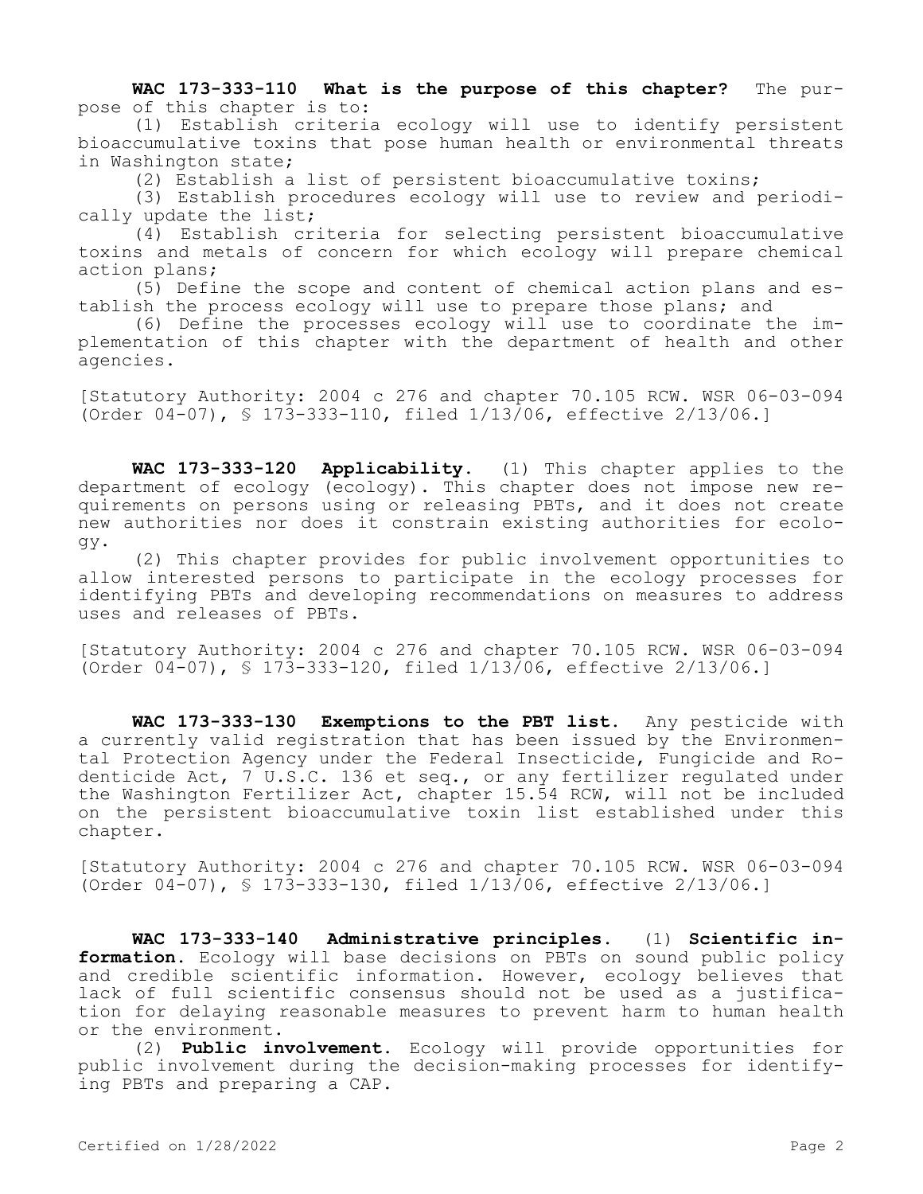**WAC 173-333-110 What is the purpose of this chapter?** The purpose of this chapter is to:

(1) Establish criteria ecology will use to identify persistent bioaccumulative toxins that pose human health or environmental threats in Washington state;

(2) Establish a list of persistent bioaccumulative toxins;

(3) Establish procedures ecology will use to review and periodically update the list;

(4) Establish criteria for selecting persistent bioaccumulative toxins and metals of concern for which ecology will prepare chemical action plans;

(5) Define the scope and content of chemical action plans and establish the process ecology will use to prepare those plans; and

(6) Define the processes ecology will use to coordinate the implementation of this chapter with the department of health and other agencies.

[Statutory Authority: 2004 c 276 and chapter 70.105 RCW. WSR 06-03-094 (Order 04-07), § 173-333-110, filed 1/13/06, effective 2/13/06.]

**WAC 173-333-120 Applicability.** (1) This chapter applies to the department of ecology (ecology). This chapter does not impose new requirements on persons using or releasing PBTs, and it does not create new authorities nor does it constrain existing authorities for ecology.

(2) This chapter provides for public involvement opportunities to allow interested persons to participate in the ecology processes for identifying PBTs and developing recommendations on measures to address uses and releases of PBTs.

[Statutory Authority: 2004 c 276 and chapter 70.105 RCW. WSR 06-03-094 (Order 04-07), § 173-333-120, filed 1/13/06, effective 2/13/06.]

**WAC 173-333-130 Exemptions to the PBT list.** Any pesticide with a currently valid registration that has been issued by the Environmental Protection Agency under the Federal Insecticide, Fungicide and Rodenticide Act, 7 U.S.C. 136 et seq., or any fertilizer regulated under the Washington Fertilizer Act, chapter 15.54 RCW, will not be included on the persistent bioaccumulative toxin list established under this chapter.

[Statutory Authority: 2004 c 276 and chapter 70.105 RCW. WSR 06-03-094 (Order 04-07), § 173-333-130, filed 1/13/06, effective 2/13/06.]

**WAC 173-333-140 Administrative principles.** (1) **Scientific information.** Ecology will base decisions on PBTs on sound public policy and credible scientific information. However, ecology believes that lack of full scientific consensus should not be used as a justification for delaying reasonable measures to prevent harm to human health or the environment.

(2) **Public involvement.** Ecology will provide opportunities for public involvement during the decision-making processes for identifying PBTs and preparing a CAP.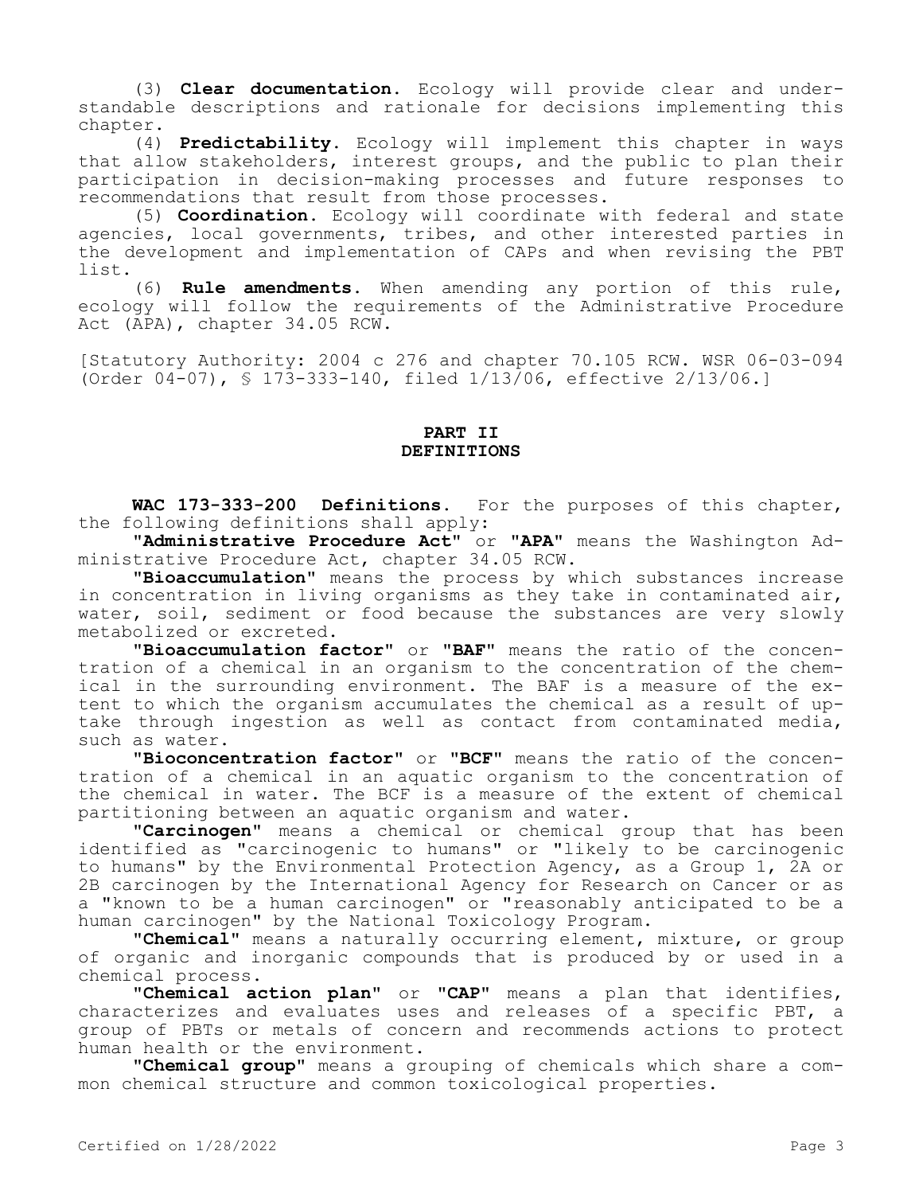(3) **Clear documentation.** Ecology will provide clear and understandable descriptions and rationale for decisions implementing this chapter.

(4) **Predictability.** Ecology will implement this chapter in ways that allow stakeholders, interest groups, and the public to plan their participation in decision-making processes and future responses to recommendations that result from those processes.

(5) **Coordination.** Ecology will coordinate with federal and state agencies, local governments, tribes, and other interested parties in the development and implementation of CAPs and when revising the PBT list.

(6) **Rule amendments.** When amending any portion of this rule, ecology will follow the requirements of the Administrative Procedure Act (APA), chapter 34.05 RCW.

[Statutory Authority: 2004 c 276 and chapter 70.105 RCW. WSR 06-03-094 (Order 04-07), § 173-333-140, filed 1/13/06, effective 2/13/06.]

# **PART II DEFINITIONS**

**WAC 173-333-200 Definitions.** For the purposes of this chapter, the following definitions shall apply:

**"Administrative Procedure Act"** or **"APA"** means the Washington Administrative Procedure Act, chapter 34.05 RCW.

**"Bioaccumulation"** means the process by which substances increase in concentration in living organisms as they take in contaminated air, water, soil, sediment or food because the substances are very slowly metabolized or excreted.

**"Bioaccumulation factor"** or **"BAF"** means the ratio of the concentration of a chemical in an organism to the concentration of the chemical in the surrounding environment. The BAF is a measure of the extent to which the organism accumulates the chemical as a result of uptake through ingestion as well as contact from contaminated media, such as water.

**"Bioconcentration factor"** or **"BCF"** means the ratio of the concentration of a chemical in an aquatic organism to the concentration of the chemical in water. The BCF is a measure of the extent of chemical partitioning between an aquatic organism and water.

**"Carcinogen"** means a chemical or chemical group that has been identified as "carcinogenic to humans" or "likely to be carcinogenic to humans" by the Environmental Protection Agency, as a Group 1, 2A or 2B carcinogen by the International Agency for Research on Cancer or as a "known to be a human carcinogen" or "reasonably anticipated to be a human carcinogen" by the National Toxicology Program.

**"Chemical"** means a naturally occurring element, mixture, or group of organic and inorganic compounds that is produced by or used in a chemical process.

**"Chemical action plan"** or **"CAP"** means a plan that identifies, characterizes and evaluates uses and releases of a specific PBT, a group of PBTs or metals of concern and recommends actions to protect human health or the environment.

**"Chemical group"** means a grouping of chemicals which share a common chemical structure and common toxicological properties.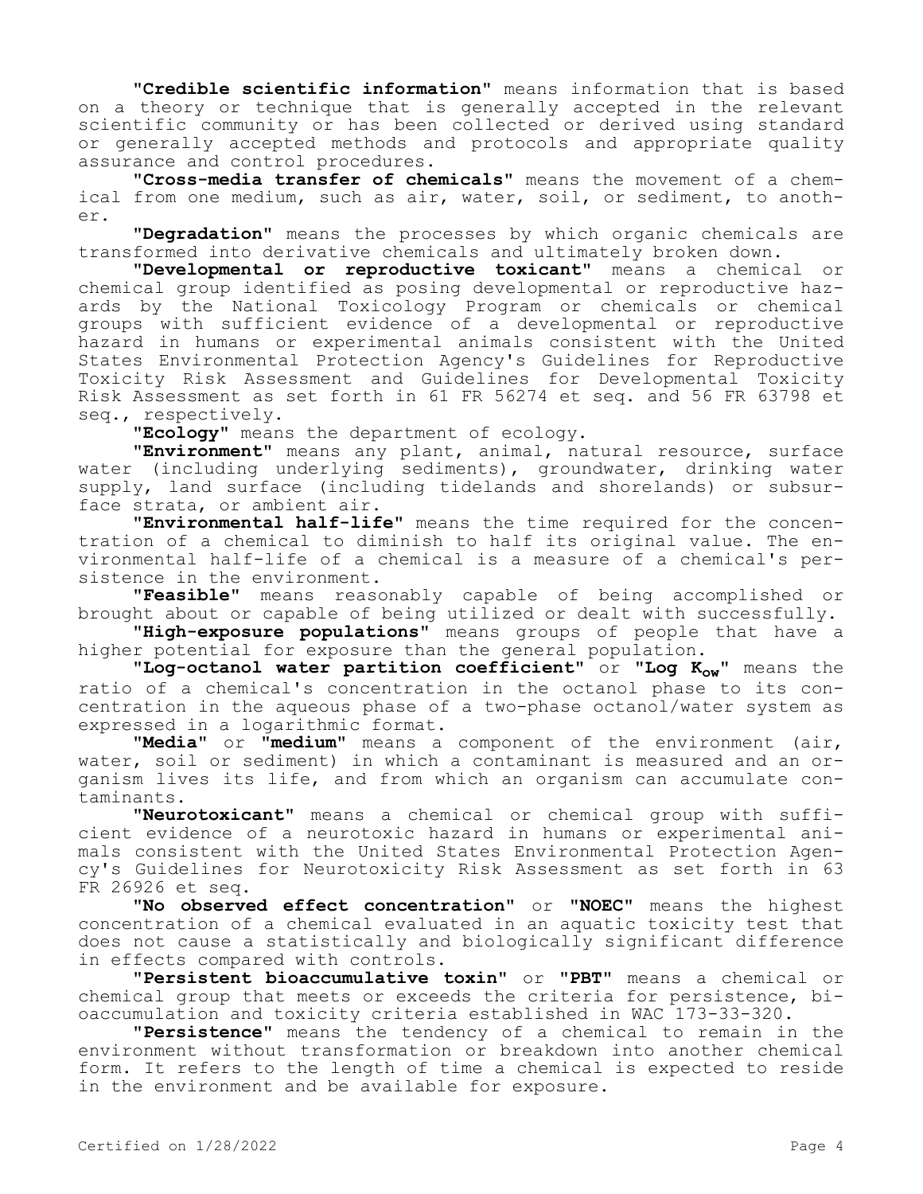**"Credible scientific information"** means information that is based on a theory or technique that is generally accepted in the relevant scientific community or has been collected or derived using standard or generally accepted methods and protocols and appropriate quality assurance and control procedures.

**"Cross-media transfer of chemicals"** means the movement of a chemical from one medium, such as air, water, soil, or sediment, to another.

**"Degradation"** means the processes by which organic chemicals are transformed into derivative chemicals and ultimately broken down.

**"Developmental or reproductive toxicant"** means a chemical or chemical group identified as posing developmental or reproductive hazards by the National Toxicology Program or chemicals or chemical groups with sufficient evidence of a developmental or reproductive hazard in humans or experimental animals consistent with the United States Environmental Protection Agency's Guidelines for Reproductive Toxicity Risk Assessment and Guidelines for Developmental Toxicity Risk Assessment as set forth in 61 FR 56274 et seq. and 56 FR 63798 et seq., respectively.

**"Ecology"** means the department of ecology.

**"Environment"** means any plant, animal, natural resource, surface water (including underlying sediments), groundwater, drinking water supply, land surface (including tidelands and shorelands) or subsurface strata, or ambient air.

**"Environmental half-life"** means the time required for the concentration of a chemical to diminish to half its original value. The environmental half-life of a chemical is a measure of a chemical's persistence in the environment.

**"Feasible"** means reasonably capable of being accomplished or brought about or capable of being utilized or dealt with successfully.

**"High-exposure populations"** means groups of people that have a higher potential for exposure than the general population.

**"Log-octanol water partition coefficient"** or **"Log Kow"** means the ratio of a chemical's concentration in the octanol phase to its concentration in the aqueous phase of a two-phase octanol/water system as expressed in a logarithmic format.

**"Media"** or **"medium"** means a component of the environment (air, water, soil or sediment) in which a contaminant is measured and an organism lives its life, and from which an organism can accumulate contaminants.

**"Neurotoxicant"** means a chemical or chemical group with sufficient evidence of a neurotoxic hazard in humans or experimental animals consistent with the United States Environmental Protection Agency's Guidelines for Neurotoxicity Risk Assessment as set forth in 63 FR 26926 et seq.

**"No observed effect concentration"** or **"NOEC"** means the highest concentration of a chemical evaluated in an aquatic toxicity test that does not cause a statistically and biologically significant difference in effects compared with controls.

**"Persistent bioaccumulative toxin"** or **"PBT"** means a chemical or chemical group that meets or exceeds the criteria for persistence, bioaccumulation and toxicity criteria established in WAC 173-33-320.

**"Persistence"** means the tendency of a chemical to remain in the environment without transformation or breakdown into another chemical form. It refers to the length of time a chemical is expected to reside in the environment and be available for exposure.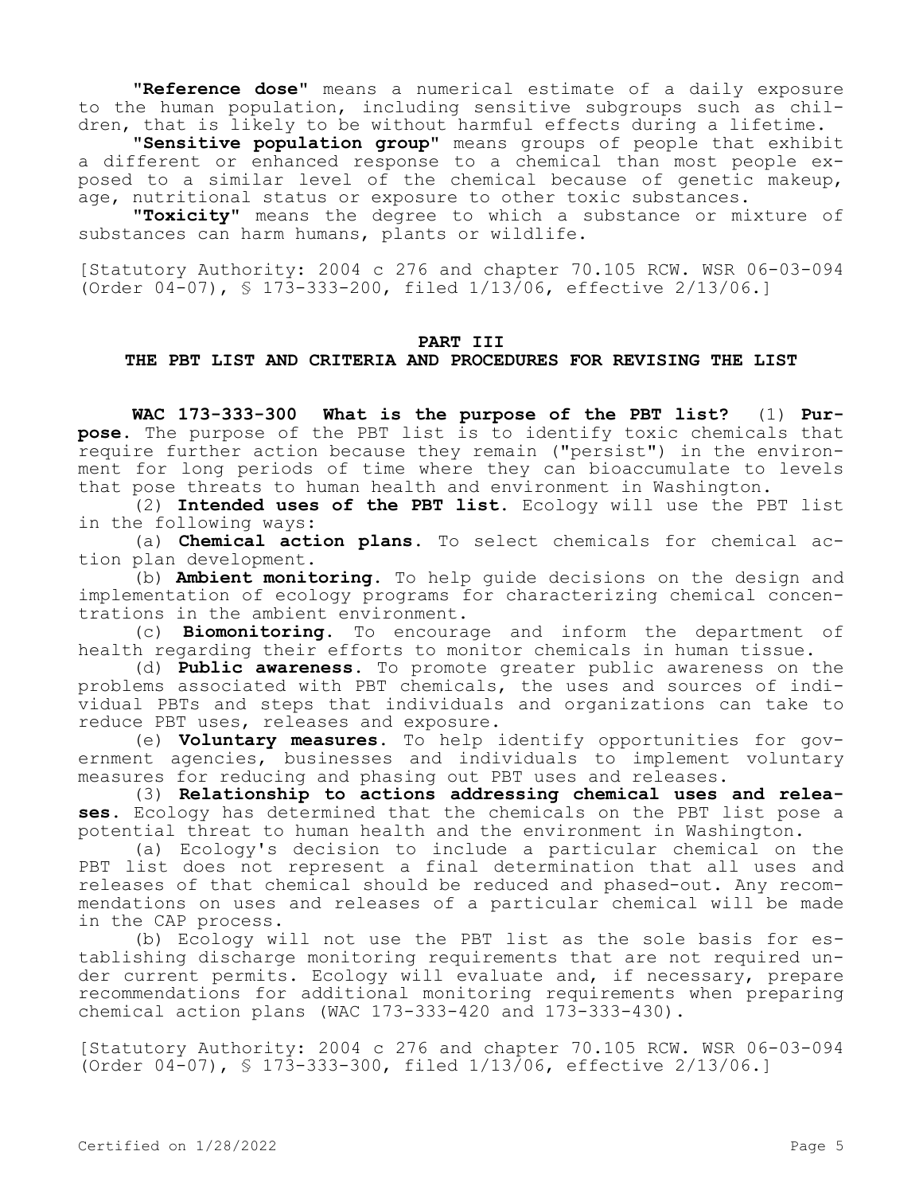**"Reference dose"** means a numerical estimate of a daily exposure to the human population, including sensitive subgroups such as children, that is likely to be without harmful effects during a lifetime.

**"Sensitive population group"** means groups of people that exhibit a different or enhanced response to a chemical than most people exposed to a similar level of the chemical because of genetic makeup, age, nutritional status or exposure to other toxic substances.

**"Toxicity"** means the degree to which a substance or mixture of substances can harm humans, plants or wildlife.

[Statutory Authority: 2004 c 276 and chapter 70.105 RCW. WSR 06-03-094 (Order 04-07), § 173-333-200, filed 1/13/06, effective 2/13/06.]

#### **PART III**

### **THE PBT LIST AND CRITERIA AND PROCEDURES FOR REVISING THE LIST**

**WAC 173-333-300 What is the purpose of the PBT list?** (1) **Purpose.** The purpose of the PBT list is to identify toxic chemicals that require further action because they remain ("persist") in the environment for long periods of time where they can bioaccumulate to levels that pose threats to human health and environment in Washington.

(2) **Intended uses of the PBT list.** Ecology will use the PBT list in the following ways:

(a) **Chemical action plans.** To select chemicals for chemical action plan development.

(b) **Ambient monitoring.** To help guide decisions on the design and implementation of ecology programs for characterizing chemical concentrations in the ambient environment.

(c) **Biomonitoring.** To encourage and inform the department of health regarding their efforts to monitor chemicals in human tissue.

(d) **Public awareness.** To promote greater public awareness on the problems associated with PBT chemicals, the uses and sources of individual PBTs and steps that individuals and organizations can take to reduce PBT uses, releases and exposure.

(e) **Voluntary measures.** To help identify opportunities for government agencies, businesses and individuals to implement voluntary measures for reducing and phasing out PBT uses and releases.

(3) **Relationship to actions addressing chemical uses and releases.** Ecology has determined that the chemicals on the PBT list pose a potential threat to human health and the environment in Washington.

(a) Ecology's decision to include a particular chemical on the PBT list does not represent a final determination that all uses and releases of that chemical should be reduced and phased-out. Any recommendations on uses and releases of a particular chemical will be made in the CAP process.

(b) Ecology will not use the PBT list as the sole basis for establishing discharge monitoring requirements that are not required under current permits. Ecology will evaluate and, if necessary, prepare recommendations for additional monitoring requirements when preparing chemical action plans (WAC 173-333-420 and 173-333-430).

[Statutory Authority: 2004 c 276 and chapter 70.105 RCW. WSR 06-03-094 (Order 04-07), § 173-333-300, filed 1/13/06, effective 2/13/06.]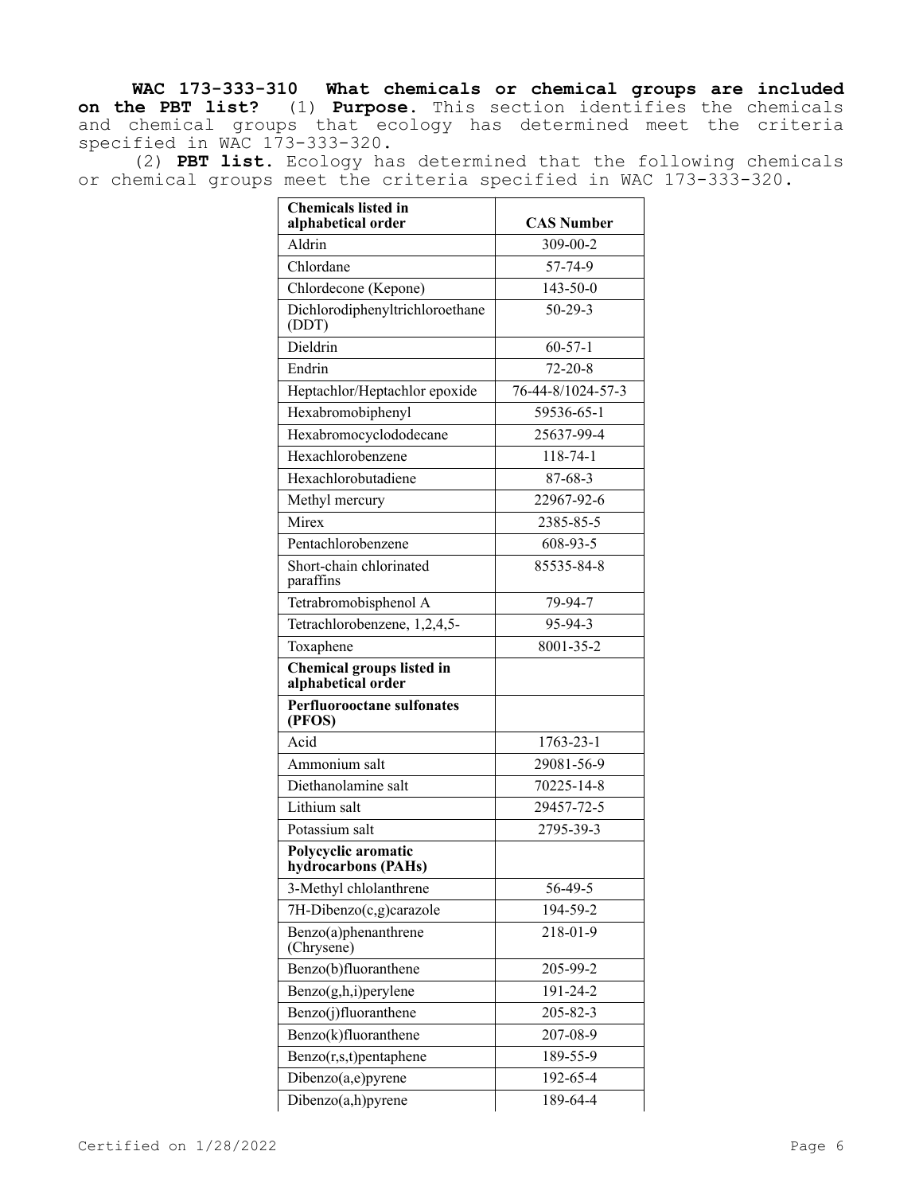**WAC 173-333-310 What chemicals or chemical groups are included on the PBT list?** (1) **Purpose.** This section identifies the chemicals and chemical groups that ecology has determined meet the criteria specified in WAC 173-333-320.

(2) **PBT list.** Ecology has determined that the following chemicals or chemical groups meet the criteria specified in WAC 173-333-320.

| <b>Chemicals listed in</b><br>alphabetical order | <b>CAS Number</b> |
|--------------------------------------------------|-------------------|
| Aldrin                                           | 309-00-2          |
| Chlordane                                        | 57-74-9           |
| Chlordecone (Kepone)                             | $143 - 50 - 0$    |
| Dichlorodiphenyltrichloroethane<br>(DDT)         | $50 - 29 - 3$     |
| Dieldrin                                         | $60 - 57 - 1$     |
| Endrin                                           | $72 - 20 - 8$     |
| Heptachlor/Heptachlor epoxide                    | 76-44-8/1024-57-3 |
| Hexabromobiphenyl                                | 59536-65-1        |
| Hexabromocyclododecane                           | 25637-99-4        |
| Hexachlorobenzene                                | $118 - 74 - 1$    |
| Hexachlorobutadiene                              | $87 - 68 - 3$     |
| Methyl mercury                                   | 22967-92-6        |
| Mirex                                            | 2385-85-5         |
| Pentachlorobenzene                               | 608-93-5          |
| Short-chain chlorinated<br>paraffins             | 85535-84-8        |
| Tetrabromobisphenol A                            | 79-94-7           |
| Tetrachlorobenzene, 1,2,4,5-                     | 95-94-3           |
| Toxaphene                                        | 8001-35-2         |
| Chemical groups listed in<br>alphabetical order  |                   |
| <b>Perfluorooctane sulfonates</b><br>(PFOS)      |                   |
| Acid                                             | 1763-23-1         |
| Ammonium salt                                    | 29081-56-9        |
| Diethanolamine salt                              | 70225-14-8        |
| Lithium salt                                     | 29457-72-5        |
| Potassium salt                                   | 2795-39-3         |
| Polycyclic aromatic<br>hydrocarbons (PAHs)       |                   |
| 3-Methyl chlolanthrene                           | 56-49-5           |
| 7H-Dibenzo(c,g)carazole                          | 194-59-2          |
| Benzo(a)phenanthrene<br>(Chrysene)               | 218-01-9          |
| Benzo(b)fluoranthene                             | 205-99-2          |
| Benzo(g,h,i)perylene                             | 191-24-2          |
| Benzo(j)fluoranthene                             | 205-82-3          |
| Benzo(k)fluoranthene                             | 207-08-9          |
| Benzo(r,s,t)pentaphene                           | 189-55-9          |
| Dibenzo(a,e)pyrene                               | 192-65-4          |
| Dibenzo(a,h)pyrene                               | 189-64-4          |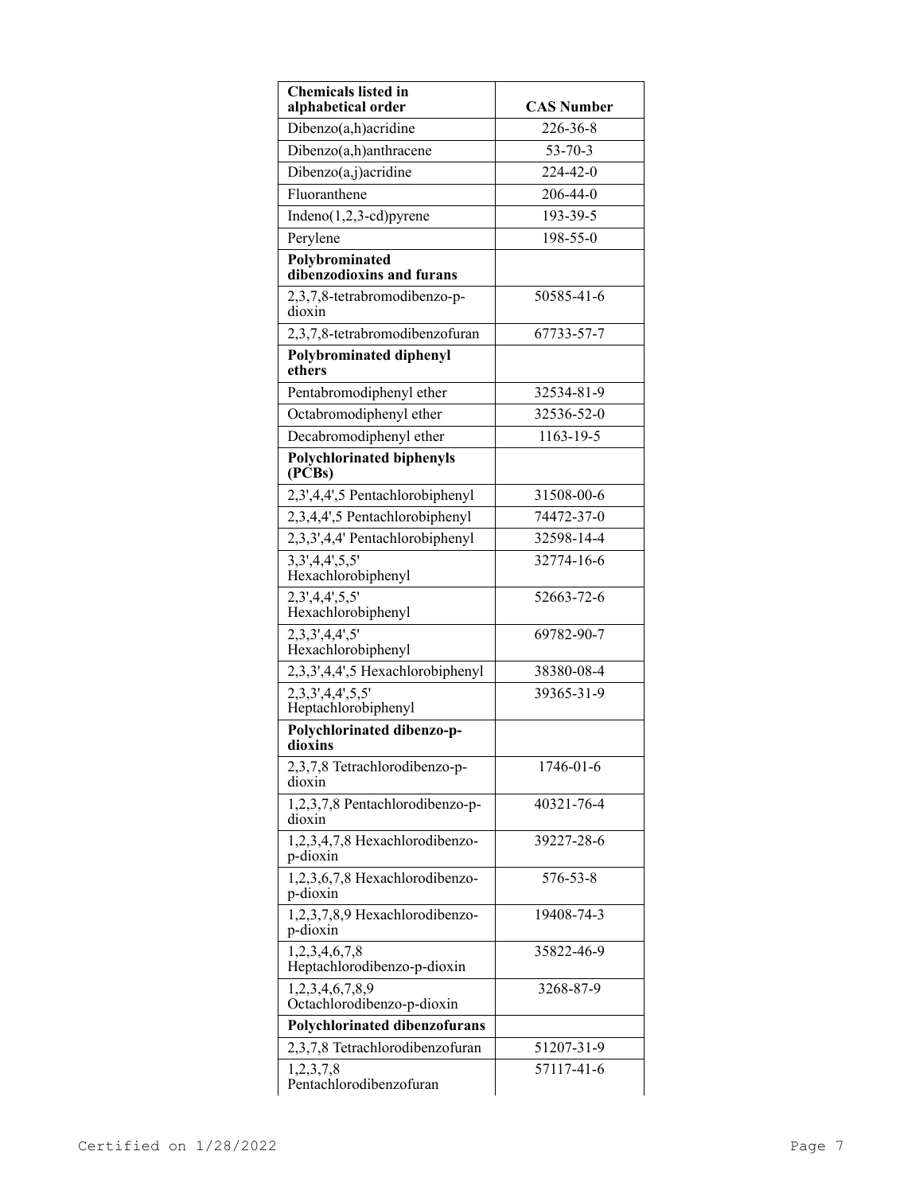| <b>Chemicals listed in</b><br>alphabetical order | <b>CAS Number</b> |
|--------------------------------------------------|-------------------|
| Dibenzo(a,h)acridine                             | 226-36-8          |
| Dibenzo(a,h)anthracene                           | $53 - 70 - 3$     |
| Dibenzo(a,j)acridine                             | 224-42-0          |
| Fluoranthene                                     | 206-44-0          |
| $Indeno(1,2,3-cd)pyrene$                         | 193-39-5          |
| Perylene                                         | $198 - 55 - 0$    |
| Polybrominated<br>dibenzodioxins and furans      |                   |
| 2,3,7,8-tetrabromodibenzo-p-<br>dioxin           | 50585-41-6        |
| 2,3,7,8-tetrabromodibenzofuran                   | 67733-57-7        |
| <b>Polybrominated diphenyl</b><br>ethers         |                   |
| Pentabromodiphenyl ether                         | 32534-81-9        |
| Octabromodiphenyl ether                          | 32536-52-0        |
| Decabromodiphenyl ether                          | 1163-19-5         |
| <b>Polychlorinated biphenyls</b><br>(PCBs)       |                   |
| 2,3',4,4',5 Pentachlorobiphenyl                  | 31508-00-6        |
| 2,3,4,4',5 Pentachlorobiphenyl                   | 74472-37-0        |
| 2,3,3',4,4' Pentachlorobiphenyl                  | 32598-14-4        |
| 3,3',4,4',5,5'<br>Hexachlorobiphenyl             | 32774-16-6        |
| 2,3',4,4',5,5'<br>Hexachlorobiphenyl             | 52663-72-6        |
| 2,3,3',4,4',5'<br>Hexachlorobiphenyl             | 69782-90-7        |
| 2,3,3',4,4',5 Hexachlorobiphenyl                 | 38380-08-4        |
| 2,3,3',4,4',5,5'<br>Heptachlorobiphenyl          | 39365-31-9        |
| Polychlorinated dibenzo-p-<br>dioxins            |                   |
| 2,3,7,8 Tetrachlorodibenzo-p-<br>dioxin          | 1746-01-6         |
| 1,2,3,7,8 Pentachlorodibenzo-p-<br>dioxin        | 40321-76-4        |
| 1,2,3,4,7,8 Hexachlorodibenzo-<br>p-dioxin       | 39227-28-6        |
| 1,2,3,6,7,8 Hexachlorodibenzo-<br>p-dioxin       | 576-53-8          |
| 1,2,3,7,8,9 Hexachlorodibenzo-<br>p-dioxin       | 19408-74-3        |
| 1,2,3,4,6,7,8<br>Heptachlorodibenzo-p-dioxin     | 35822-46-9        |
| 1,2,3,4,6,7,8,9<br>Octachlorodibenzo-p-dioxin    | 3268-87-9         |
| Polychlorinated dibenzofurans                    |                   |
| 2,3,7,8 Tetrachlorodibenzofuran                  | 51207-31-9        |
| 1,2,3,7,8<br>Pentachlorodibenzofuran             | 57117-41-6        |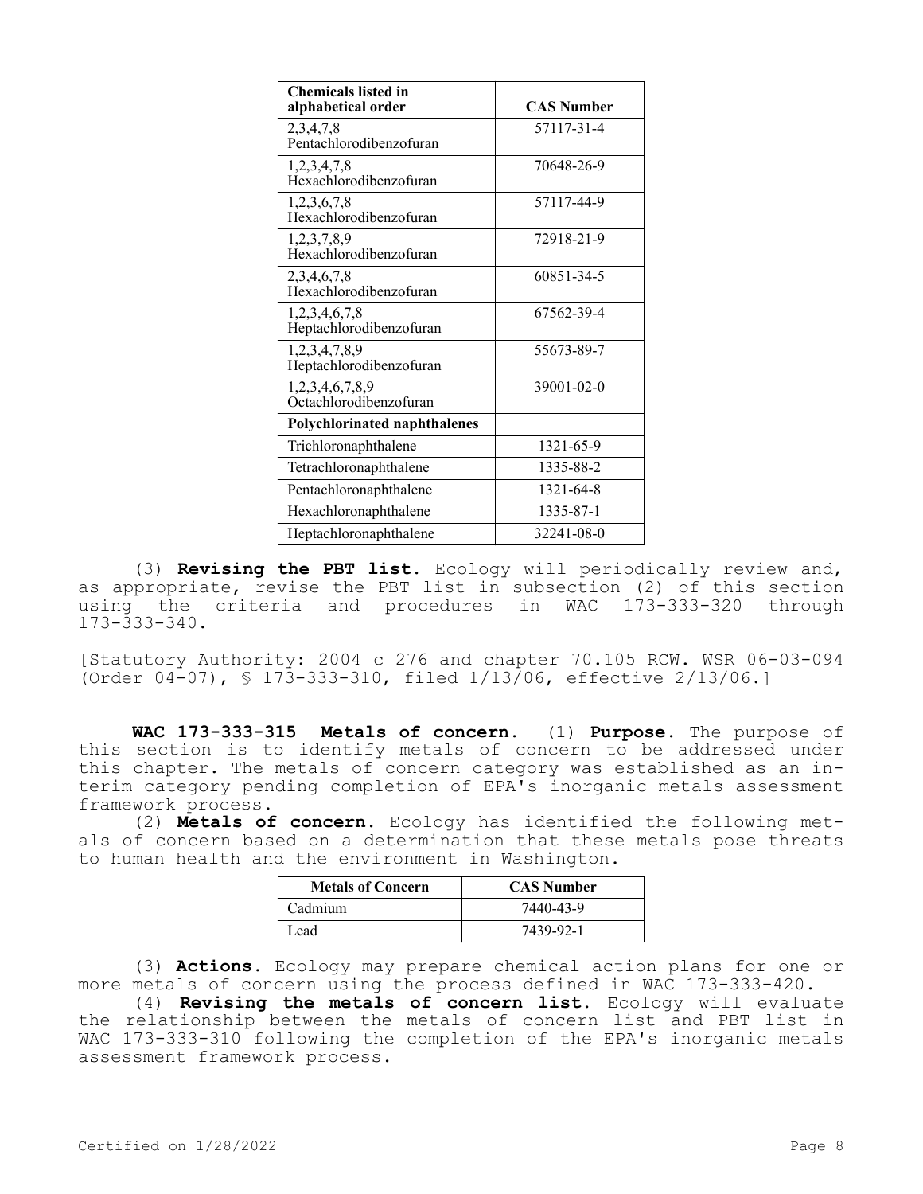| <b>Chemicals listed in</b><br>alphabetical order | <b>CAS Number</b> |
|--------------------------------------------------|-------------------|
| 2,3,4,7,8<br>Pentachlorodibenzofuran             | 57117-31-4        |
| 1,2,3,4,7,8<br>Hexachlorodibenzofuran            | 70648-26-9        |
| 1,2,3,6,7,8<br>Hexachlorodibenzofuran            | 57117-44-9        |
| 1,2,3,7,8,9<br>Hexachlorodibenzofuran            | 72918-21-9        |
| 2,3,4,6,7,8<br>Hexachlorodibenzofuran            | 60851-34-5        |
| 1,2,3,4,6,7,8<br>Heptachlorodibenzofuran         | 67562-39-4        |
| 1,2,3,4,7,8,9<br>Heptachlorodibenzofuran         | 55673-89-7        |
| 1,2,3,4,6,7,8,9<br>Octachlorodibenzofuran        | $39001 - 02 - 0$  |
| <b>Polychlorinated naphthalenes</b>              |                   |
| Trichloronaphthalene                             | 1321-65-9         |
| Tetrachloronaphthalene                           | 1335-88-2         |
| Pentachloronaphthalene                           | 1321-64-8         |
| Hexachloronaphthalene                            | 1335-87-1         |
| Heptachloronaphthalene                           | 32241-08-0        |

(3) **Revising the PBT list.** Ecology will periodically review and, as appropriate, revise the PBT list in subsection (2) of this section using the criteria and procedures in WAC 173-333-320 through 173-333-340.

[Statutory Authority: 2004 c 276 and chapter 70.105 RCW. WSR 06-03-094 (Order 04-07), § 173-333-310, filed 1/13/06, effective 2/13/06.]

**WAC 173-333-315 Metals of concern.** (1) **Purpose.** The purpose of this section is to identify metals of concern to be addressed under this chapter. The metals of concern category was established as an interim category pending completion of EPA's inorganic metals assessment framework process.

(2) **Metals of concern.** Ecology has identified the following metals of concern based on a determination that these metals pose threats to human health and the environment in Washington.

| <b>Metals of Concern</b> | <b>CAS Number</b> |
|--------------------------|-------------------|
| Cadmium                  | 7440-43-9         |
| Lead                     | 7439-92-1         |

(3) **Actions.** Ecology may prepare chemical action plans for one or more metals of concern using the process defined in WAC 173-333-420.

(4) **Revising the metals of concern list.** Ecology will evaluate the relationship between the metals of concern list and PBT list in WAC 173-333-310 following the completion of the EPA's inorganic metals assessment framework process.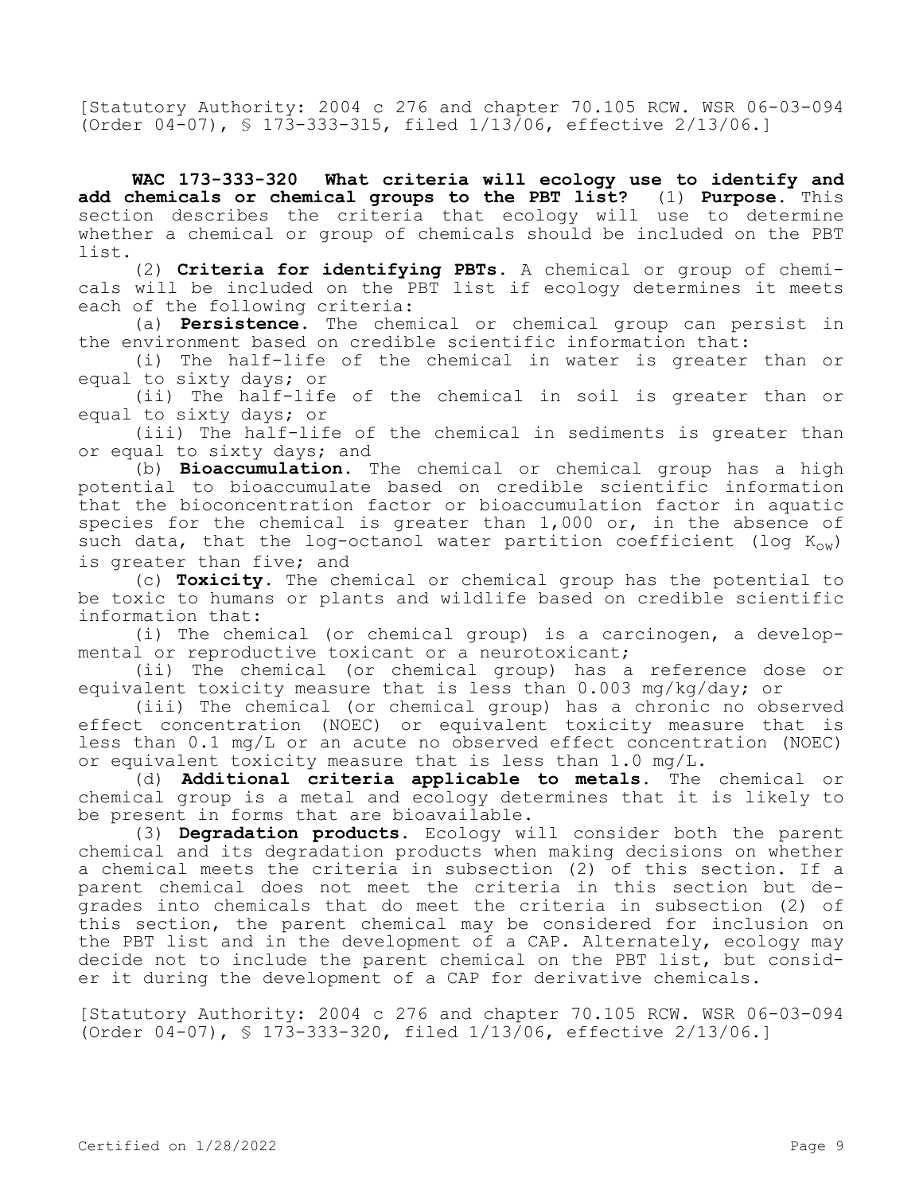[Statutory Authority: 2004 c 276 and chapter 70.105 RCW. WSR 06-03-094 (Order 04-07), § 173-333-315, filed 1/13/06, effective 2/13/06.]

**WAC 173-333-320 What criteria will ecology use to identify and add chemicals or chemical groups to the PBT list?** (1) **Purpose.** This section describes the criteria that ecology will use to determine whether a chemical or group of chemicals should be included on the PBT list.

(2) **Criteria for identifying PBTs.** A chemical or group of chemicals will be included on the PBT list if ecology determines it meets each of the following criteria:

(a) **Persistence.** The chemical or chemical group can persist in the environment based on credible scientific information that:

(i) The half-life of the chemical in water is greater than or equal to sixty days; or

(ii) The half-life of the chemical in soil is greater than or equal to sixty days; or

(iii) The half-life of the chemical in sediments is greater than or equal to sixty days; and

(b) **Bioaccumulation.** The chemical or chemical group has a high potential to bioaccumulate based on credible scientific information that the bioconcentration factor or bioaccumulation factor in aquatic species for the chemical is greater than 1,000 or, in the absence of such data, that the log-octanol water partition coefficient (log  $K_{OW}$ ) is greater than five; and

(c) **Toxicity.** The chemical or chemical group has the potential to be toxic to humans or plants and wildlife based on credible scientific information that:

(i) The chemical (or chemical group) is a carcinogen, a developmental or reproductive toxicant or a neurotoxicant;

(ii) The chemical (or chemical group) has a reference dose or equivalent toxicity measure that is less than 0.003 mg/kg/day; or

(iii) The chemical (or chemical group) has a chronic no observed effect concentration (NOEC) or equivalent toxicity measure that is less than 0.1 mg/L or an acute no observed effect concentration (NOEC) or equivalent toxicity measure that is less than 1.0 mg/L.

(d) **Additional criteria applicable to metals.** The chemical or chemical group is a metal and ecology determines that it is likely to be present in forms that are bioavailable.

(3) **Degradation products.** Ecology will consider both the parent chemical and its degradation products when making decisions on whether a chemical meets the criteria in subsection (2) of this section. If a parent chemical does not meet the criteria in this section but degrades into chemicals that do meet the criteria in subsection (2) of this section, the parent chemical may be considered for inclusion on the PBT list and in the development of a CAP. Alternately, ecology may decide not to include the parent chemical on the PBT list, but consider it during the development of a CAP for derivative chemicals.

[Statutory Authority: 2004 c 276 and chapter 70.105 RCW. WSR 06-03-094 (Order 04-07), § 173-333-320, filed 1/13/06, effective 2/13/06.]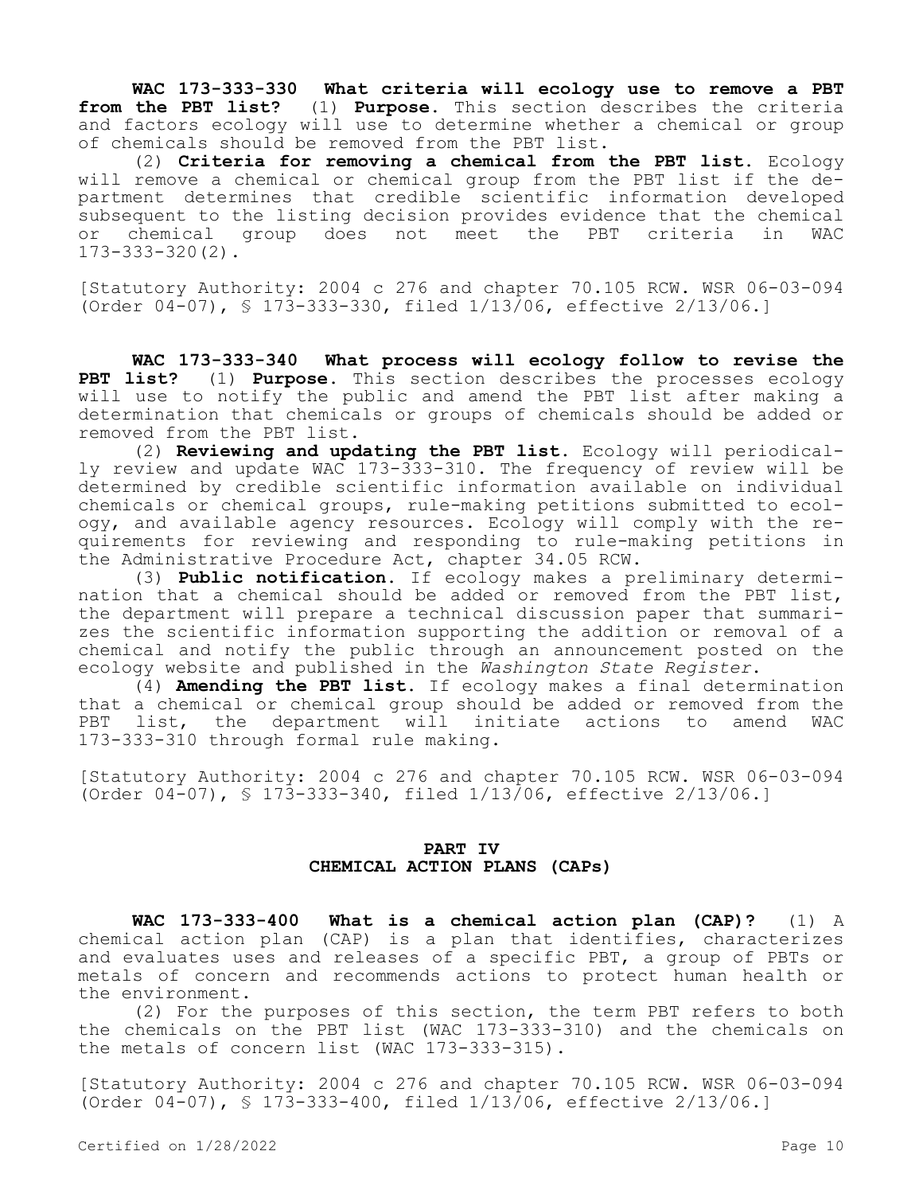**WAC 173-333-330 What criteria will ecology use to remove a PBT from the PBT list?** (1) **Purpose.** This section describes the criteria and factors ecology will use to determine whether a chemical or group of chemicals should be removed from the PBT list.

(2) **Criteria for removing a chemical from the PBT list.** Ecology will remove a chemical or chemical group from the PBT list if the department determines that credible scientific information developed subsequent to the listing decision provides evidence that the chemical<br>or chemical group does not meet the PBT criteria in WAC or chemical group does not meet the PBT criteria in 173-333-320(2).

[Statutory Authority: 2004 c 276 and chapter 70.105 RCW. WSR 06-03-094 (Order 04-07), § 173-333-330, filed 1/13/06, effective 2/13/06.]

**WAC 173-333-340 What process will ecology follow to revise the PBT list?** (1) **Purpose.** This section describes the processes ecology will use to notify the public and amend the PBT list after making a determination that chemicals or groups of chemicals should be added or removed from the PBT list.

(2) **Reviewing and updating the PBT list.** Ecology will periodically review and update WAC 173-333-310. The frequency of review will be determined by credible scientific information available on individual chemicals or chemical groups, rule-making petitions submitted to ecology, and available agency resources. Ecology will comply with the requirements for reviewing and responding to rule-making petitions in the Administrative Procedure Act, chapter 34.05 RCW.

(3) **Public notification.** If ecology makes a preliminary determination that a chemical should be added or removed from the PBT list, the department will prepare a technical discussion paper that summarizes the scientific information supporting the addition or removal of a chemical and notify the public through an announcement posted on the ecology website and published in the *Washington State Register*.

(4) **Amending the PBT list.** If ecology makes a final determination that a chemical or chemical group should be added or removed from the PBT list, the department will initiate actions to amend WAC 173-333-310 through formal rule making.

[Statutory Authority: 2004 c 276 and chapter 70.105 RCW. WSR 06-03-094 (Order 04-07), § 173-333-340, filed 1/13/06, effective 2/13/06.]

# **PART IV CHEMICAL ACTION PLANS (CAPs)**

**WAC 173-333-400 What is a chemical action plan (CAP)?** (1) A chemical action plan (CAP) is a plan that identifies, characterizes and evaluates uses and releases of a specific PBT, a group of PBTs or metals of concern and recommends actions to protect human health or the environment.

(2) For the purposes of this section, the term PBT refers to both the chemicals on the PBT list (WAC 173-333-310) and the chemicals on the metals of concern list (WAC 173-333-315).

[Statutory Authority: 2004 c 276 and chapter 70.105 RCW. WSR 06-03-094 (Order 04-07), § 173-333-400, filed 1/13/06, effective 2/13/06.]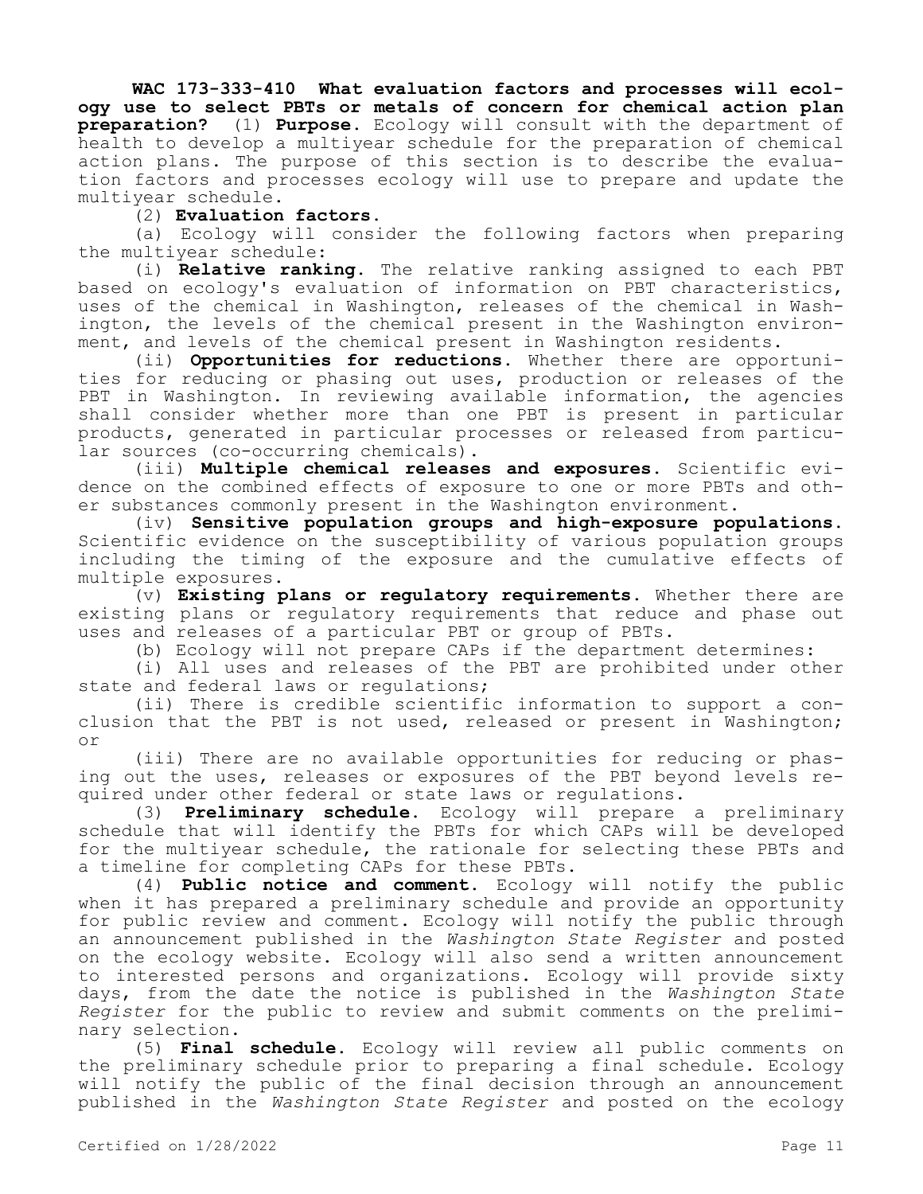**WAC 173-333-410 What evaluation factors and processes will ecology use to select PBTs or metals of concern for chemical action plan preparation?** (1) **Purpose.** Ecology will consult with the department of health to develop a multiyear schedule for the preparation of chemical action plans. The purpose of this section is to describe the evaluation factors and processes ecology will use to prepare and update the multiyear schedule.

# (2) **Evaluation factors.**

(a) Ecology will consider the following factors when preparing the multiyear schedule:

(i) **Relative ranking.** The relative ranking assigned to each PBT based on ecology's evaluation of information on PBT characteristics, uses of the chemical in Washington, releases of the chemical in Washington, the levels of the chemical present in the Washington environment, and levels of the chemical present in Washington residents.

(ii) **Opportunities for reductions.** Whether there are opportunities for reducing or phasing out uses, production or releases of the PBT in Washington. In reviewing available information, the agencies shall consider whether more than one PBT is present in particular products, generated in particular processes or released from particular sources (co-occurring chemicals).

(iii) **Multiple chemical releases and exposures.** Scientific evidence on the combined effects of exposure to one or more PBTs and other substances commonly present in the Washington environment.

(iv) **Sensitive population groups and high-exposure populations.**  Scientific evidence on the susceptibility of various population groups including the timing of the exposure and the cumulative effects of multiple exposures.

(v) **Existing plans or regulatory requirements.** Whether there are existing plans or regulatory requirements that reduce and phase out uses and releases of a particular PBT or group of PBTs.

(b) Ecology will not prepare CAPs if the department determines:

(i) All uses and releases of the PBT are prohibited under other state and federal laws or regulations;

(ii) There is credible scientific information to support a conclusion that the PBT is not used, released or present in Washington; or

(iii) There are no available opportunities for reducing or phasing out the uses, releases or exposures of the PBT beyond levels required under other federal or state laws or regulations.

(3) **Preliminary schedule.** Ecology will prepare a preliminary schedule that will identify the PBTs for which CAPs will be developed for the multiyear schedule, the rationale for selecting these PBTs and a timeline for completing CAPs for these PBTs.

(4) **Public notice and comment.** Ecology will notify the public when it has prepared a preliminary schedule and provide an opportunity for public review and comment. Ecology will notify the public through an announcement published in the *Washington State Register* and posted on the ecology website. Ecology will also send a written announcement to interested persons and organizations. Ecology will provide sixty days, from the date the notice is published in the *Washington State Register* for the public to review and submit comments on the preliminary selection.

(5) **Final schedule.** Ecology will review all public comments on the preliminary schedule prior to preparing a final schedule. Ecology will notify the public of the final decision through an announcement published in the *Washington State Register* and posted on the ecology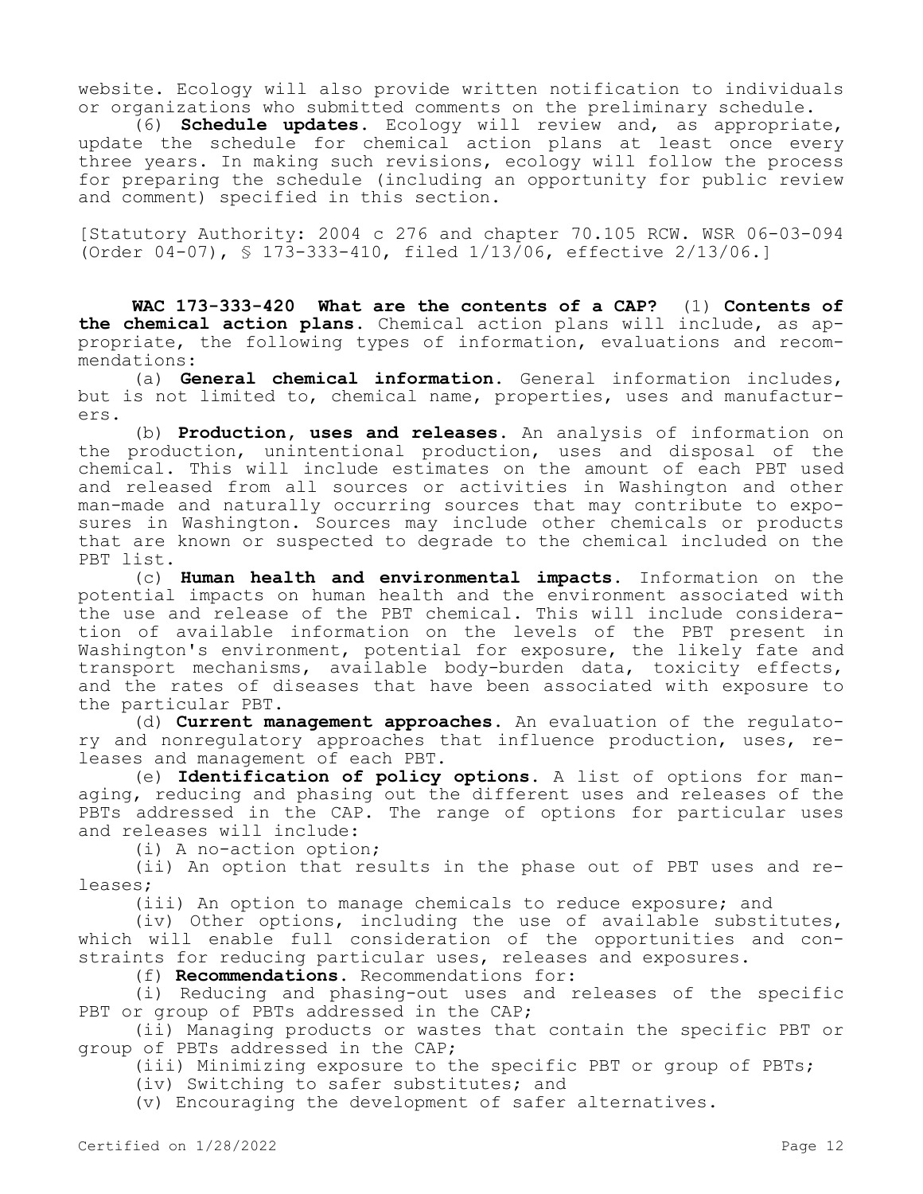website. Ecology will also provide written notification to individuals or organizations who submitted comments on the preliminary schedule.

(6) **Schedule updates.** Ecology will review and, as appropriate, update the schedule for chemical action plans at least once every three years. In making such revisions, ecology will follow the process for preparing the schedule (including an opportunity for public review and comment) specified in this section.

[Statutory Authority: 2004 c 276 and chapter 70.105 RCW. WSR 06-03-094 (Order 04-07), § 173-333-410, filed 1/13/06, effective 2/13/06.]

**WAC 173-333-420 What are the contents of a CAP?** (1) **Contents of the chemical action plans.** Chemical action plans will include, as appropriate, the following types of information, evaluations and recommendations:

(a) **General chemical information.** General information includes, but is not limited to, chemical name, properties, uses and manufacturers.

(b) **Production, uses and releases.** An analysis of information on the production, unintentional production, uses and disposal of the chemical. This will include estimates on the amount of each PBT used and released from all sources or activities in Washington and other man-made and naturally occurring sources that may contribute to exposures in Washington. Sources may include other chemicals or products that are known or suspected to degrade to the chemical included on the PBT list.

(c) **Human health and environmental impacts.** Information on the potential impacts on human health and the environment associated with the use and release of the PBT chemical. This will include consideration of available information on the levels of the PBT present in Washington's environment, potential for exposure, the likely fate and transport mechanisms, available body-burden data, toxicity effects, and the rates of diseases that have been associated with exposure to the particular PBT.

(d) **Current management approaches.** An evaluation of the regulatory and nonregulatory approaches that influence production, uses, releases and management of each PBT.

(e) **Identification of policy options.** A list of options for managing, reducing and phasing out the different uses and releases of the PBTs addressed in the CAP. The range of options for particular uses and releases will include:

(i) A no-action option;

(ii) An option that results in the phase out of PBT uses and releases;

(iii) An option to manage chemicals to reduce exposure; and

(iv) Other options, including the use of available substitutes, which will enable full consideration of the opportunities and constraints for reducing particular uses, releases and exposures.

(f) **Recommendations.** Recommendations for:

(i) Reducing and phasing-out uses and releases of the specific PBT or group of PBTs addressed in the CAP;

(ii) Managing products or wastes that contain the specific PBT or group of PBTs addressed in the CAP;

(iii) Minimizing exposure to the specific PBT or group of PBTs;

(iv) Switching to safer substitutes; and

(v) Encouraging the development of safer alternatives.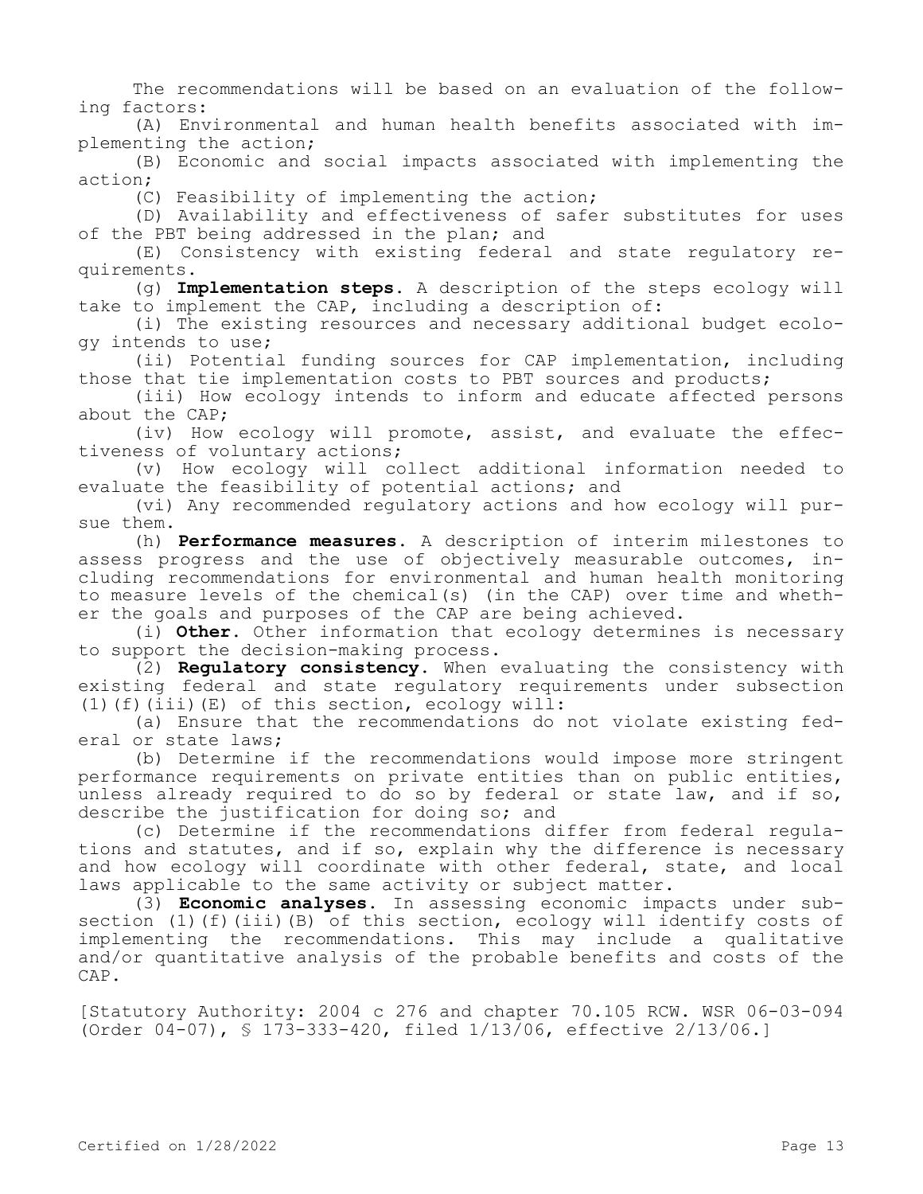The recommendations will be based on an evaluation of the following factors:

(A) Environmental and human health benefits associated with implementing the action;

(B) Economic and social impacts associated with implementing the action;

(C) Feasibility of implementing the action;

(D) Availability and effectiveness of safer substitutes for uses of the PBT being addressed in the plan; and

(E) Consistency with existing federal and state regulatory requirements.

(g) **Implementation steps.** A description of the steps ecology will take to implement the CAP, including a description of:

(i) The existing resources and necessary additional budget ecology intends to use;

(ii) Potential funding sources for CAP implementation, including those that tie implementation costs to PBT sources and products;

(iii) How ecology intends to inform and educate affected persons about the CAP;

(iv) How ecology will promote, assist, and evaluate the effectiveness of voluntary actions;

(v) How ecology will collect additional information needed to evaluate the feasibility of potential actions; and

(vi) Any recommended regulatory actions and how ecology will pursue them.

(h) **Performance measures.** A description of interim milestones to assess progress and the use of objectively measurable outcomes, including recommendations for environmental and human health monitoring to measure levels of the chemical(s) (in the CAP) over time and whether the goals and purposes of the CAP are being achieved.

(i) **Other.** Other information that ecology determines is necessary to support the decision-making process.

(2) **Regulatory consistency.** When evaluating the consistency with existing federal and state regulatory requirements under subsection (1)(f)(iii)(E) of this section, ecology will:

(a) Ensure that the recommendations do not violate existing federal or state laws;

(b) Determine if the recommendations would impose more stringent performance requirements on private entities than on public entities, unless already required to do so by federal or state law, and if so, describe the justification for doing so; and

(c) Determine if the recommendations differ from federal regulations and statutes, and if so, explain why the difference is necessary and how ecology will coordinate with other federal, state, and local laws applicable to the same activity or subject matter.

(3) **Economic analyses.** In assessing economic impacts under subsection (1)(f)(iii)(B) of this section, ecology will identify costs of implementing the recommendations. This may include a qualitative and/or quantitative analysis of the probable benefits and costs of the CAP.

[Statutory Authority: 2004 c 276 and chapter 70.105 RCW. WSR 06-03-094 (Order 04-07), § 173-333-420, filed 1/13/06, effective 2/13/06.]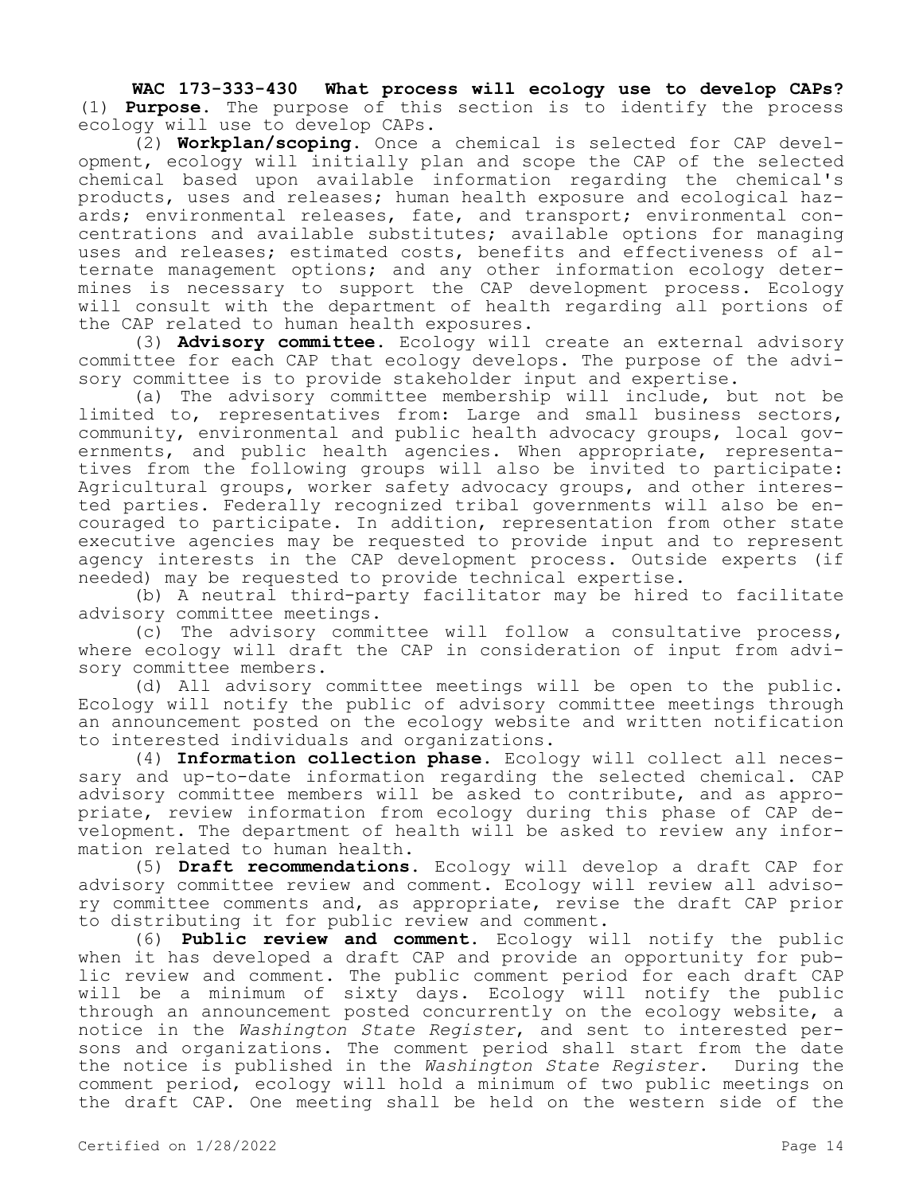**WAC 173-333-430 What process will ecology use to develop CAPs?**  (1) **Purpose.** The purpose of this section is to identify the process ecology will use to develop CAPs.

(2) **Workplan/scoping.** Once a chemical is selected for CAP development, ecology will initially plan and scope the CAP of the selected chemical based upon available information regarding the chemical's products, uses and releases; human health exposure and ecological hazards; environmental releases, fate, and transport; environmental concentrations and available substitutes; available options for managing uses and releases; estimated costs, benefits and effectiveness of alternate management options; and any other information ecology determines is necessary to support the CAP development process. Ecology will consult with the department of health regarding all portions of the CAP related to human health exposures.

(3) **Advisory committee.** Ecology will create an external advisory committee for each CAP that ecology develops. The purpose of the advisory committee is to provide stakeholder input and expertise.

(a) The advisory committee membership will include, but not be limited to, representatives from: Large and small business sectors, community, environmental and public health advocacy groups, local governments, and public health agencies. When appropriate, representatives from the following groups will also be invited to participate: Agricultural groups, worker safety advocacy groups, and other interested parties. Federally recognized tribal governments will also be encouraged to participate. In addition, representation from other state executive agencies may be requested to provide input and to represent agency interests in the CAP development process. Outside experts (if needed) may be requested to provide technical expertise.

(b) A neutral third-party facilitator may be hired to facilitate advisory committee meetings.

(c) The advisory committee will follow a consultative process, where ecology will draft the CAP in consideration of input from advisory committee members.

(d) All advisory committee meetings will be open to the public. Ecology will notify the public of advisory committee meetings through an announcement posted on the ecology website and written notification to interested individuals and organizations.

(4) **Information collection phase.** Ecology will collect all necessary and up-to-date information regarding the selected chemical. CAP advisory committee members will be asked to contribute, and as appropriate, review information from ecology during this phase of CAP development. The department of health will be asked to review any information related to human health.

(5) **Draft recommendations.** Ecology will develop a draft CAP for advisory committee review and comment. Ecology will review all advisory committee comments and, as appropriate, revise the draft CAP prior to distributing it for public review and comment.

(6) **Public review and comment.** Ecology will notify the public when it has developed a draft CAP and provide an opportunity for public review and comment. The public comment period for each draft CAP will be a minimum of sixty days. Ecology will notify the public through an announcement posted concurrently on the ecology website, a notice in the *Washington State Register*, and sent to interested persons and organizations. The comment period shall start from the date the notice is published in the *Washington State Register*. During the comment period, ecology will hold a minimum of two public meetings on the draft CAP. One meeting shall be held on the western side of the